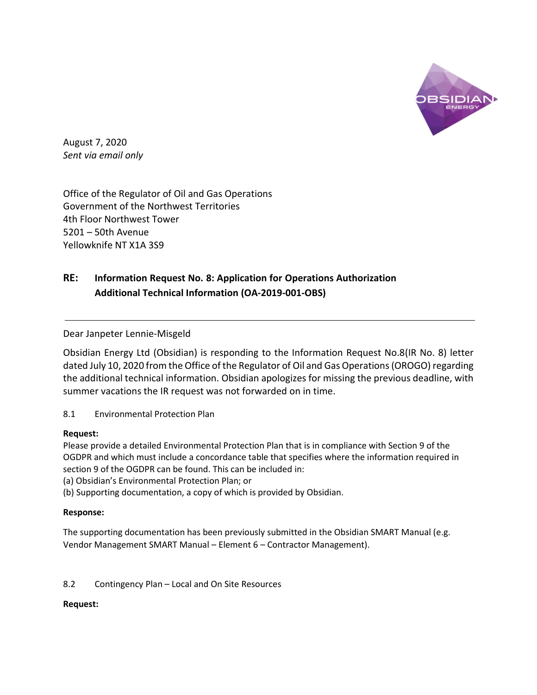

August 7, 2020 *Sent via email only*

Office of the Regulator of Oil and Gas Operations Government of the Northwest Territories 4th Floor Northwest Tower 5201 – 50th Avenue Yellowknife NT X1A 3S9

# **RE: Information Request No. 8: Application for Operations Authorization Additional Technical Information (OA-2019-001-OBS)**

Dear Janpeter Lennie-Misgeld

Obsidian Energy Ltd (Obsidian) is responding to the Information Request No.8(IR No. 8) letter dated July 10, 2020 from the Office of the Regulator of Oil and Gas Operations (OROGO) regarding the additional technical information. Obsidian apologizes for missing the previous deadline, with summer vacations the IR request was not forwarded on in time.

8.1 Environmental Protection Plan

## **Request:**

Please provide a detailed Environmental Protection Plan that is in compliance with Section 9 of the OGDPR and which must include a concordance table that specifies where the information required in section 9 of the OGDPR can be found. This can be included in:

(a) Obsidian's Environmental Protection Plan; or

(b) Supporting documentation, a copy of which is provided by Obsidian.

## **Response:**

The supporting documentation has been previously submitted in the Obsidian SMART Manual (e.g. Vendor Management SMART Manual – Element 6 – Contractor Management).

## 8.2 Contingency Plan – Local and On Site Resources

## **Request:**